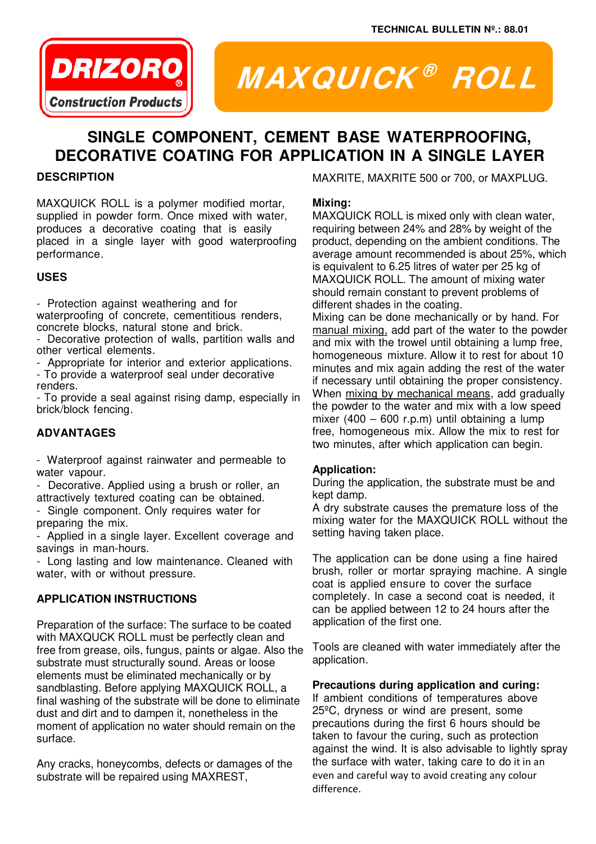

# **MAXQUICK ® ROLL**

# **SINGLE COMPONENT, CEMENT BASE WATERPROOFING, DECORATIVE COATING FOR APPLICATION IN A SINGLE LAYER**

# **DESCRIPTION**

MAXQUICK ROLL is a polymer modified mortar, supplied in powder form. Once mixed with water, produces a decorative coating that is easily placed in a single layer with good waterproofing performance.

# **USES**

- Protection against weathering and for waterproofing of concrete, cementitious renders, concrete blocks, natural stone and brick.

- Decorative protection of walls, partition walls and other vertical elements.
- Appropriate for interior and exterior applications.

- To provide a waterproof seal under decorative renders.

- To provide a seal against rising damp, especially in brick/block fencing.

# **ADVANTAGES**

- Waterproof against rainwater and permeable to water vapour.

- Decorative. Applied using a brush or roller, an attractively textured coating can be obtained.

- Single component. Only requires water for preparing the mix.

- Applied in a single layer. Excellent coverage and savings in man-hours.

- Long lasting and low maintenance. Cleaned with water, with or without pressure.

# **APPLICATION INSTRUCTIONS**

Preparation of the surface: The surface to be coated with MAXQUCK ROLL must be perfectly clean and free from grease, oils, fungus, paints or algae. Also the substrate must structurally sound. Areas or loose elements must be eliminated mechanically or by sandblasting. Before applying MAXQUICK ROLL, a final washing of the substrate will be done to eliminate dust and dirt and to dampen it, nonetheless in the moment of application no water should remain on the surface.

Any cracks, honeycombs, defects or damages of the substrate will be repaired using MAXREST,

MAXRITE, MAXRITE 500 or 700, or MAXPLUG.

#### **Mixing:**

MAXQUICK ROLL is mixed only with clean water, requiring between 24% and 28% by weight of the product, depending on the ambient conditions. The average amount recommended is about 25%, which is equivalent to 6.25 litres of water per 25 kg of MAXQUICK ROLL. The amount of mixing water should remain constant to prevent problems of different shades in the coating.

Mixing can be done mechanically or by hand. For manual mixing, add part of the water to the powder and mix with the trowel until obtaining a lump free, homogeneous mixture. Allow it to rest for about 10 minutes and mix again adding the rest of the water if necessary until obtaining the proper consistency. When mixing by mechanical means, add gradually the powder to the water and mix with a low speed mixer (400 – 600 r.p.m) until obtaining a lump free, homogeneous mix. Allow the mix to rest for two minutes, after which application can begin.

#### **Application:**

During the application, the substrate must be and kept damp.

A dry substrate causes the premature loss of the mixing water for the MAXQUICK ROLL without the setting having taken place.

The application can be done using a fine haired brush, roller or mortar spraying machine. A single coat is applied ensure to cover the surface completely. In case a second coat is needed, it can be applied between 12 to 24 hours after the application of the first one.

Tools are cleaned with water immediately after the application.

#### **Precautions during application and curing:**

If ambient conditions of temperatures above 25ºC, dryness or wind are present, some precautions during the first 6 hours should be taken to favour the curing, such as protection against the wind. It is also advisable to lightly spray the surface with water, taking care to do it in an even and careful way to avoid creating any colour difference.